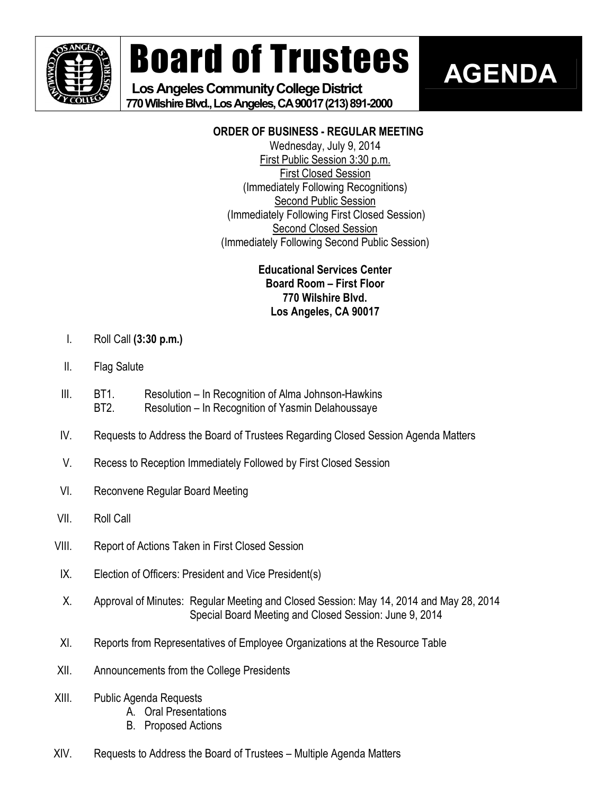

# Board of Trustees

# Los Angeles Community College District **770WilshireBlvd.,LosAngeles,CA90017(213)8912000**

# **AGENDA**

## **ORDER OF BUSINESS REGULAR MEETING**

Wednesday, July 9, 2014 First Public Session 3:30 p.m. First Closed Session (Immediately Following Recognitions) Second Public Session (Immediately Following First Closed Session) Second Closed Session (Immediately Following Second Public Session)

### **Educational Services Center Board Room – First Floor 770 Wilshire Blvd. Los Angeles, CA 90017**

- I. Roll Call **(3:30 p.m.)**
- II. Flag Salute
- III. BT1. Resolution In Recognition of Alma Johnson-Hawkins BT2. Resolution – In Recognition of Yasmin Delahoussaye
- IV. Requests to Address the Board of Trustees Regarding Closed Session Agenda Matters
- V. Recess to Reception Immediately Followed by First Closed Session
- VI. Reconvene Regular Board Meeting
- VII. Roll Call
- VIII. Report of Actions Taken in First Closed Session
- IX. Election of Officers: President and Vice President(s)
- X. Approval of Minutes: Regular Meeting and Closed Session: May 14, 2014 and May 28, 2014 Special Board Meeting and Closed Session: June 9, 2014
- XI. Reports from Representatives of Employee Organizations at the Resource Table
- XII. Announcements from the College Presidents
- XIII. Public Agenda Requests
	- A. Oral Presentations
	- B. Proposed Actions
- XIV. Requests to Address the Board of Trustees Multiple Agenda Matters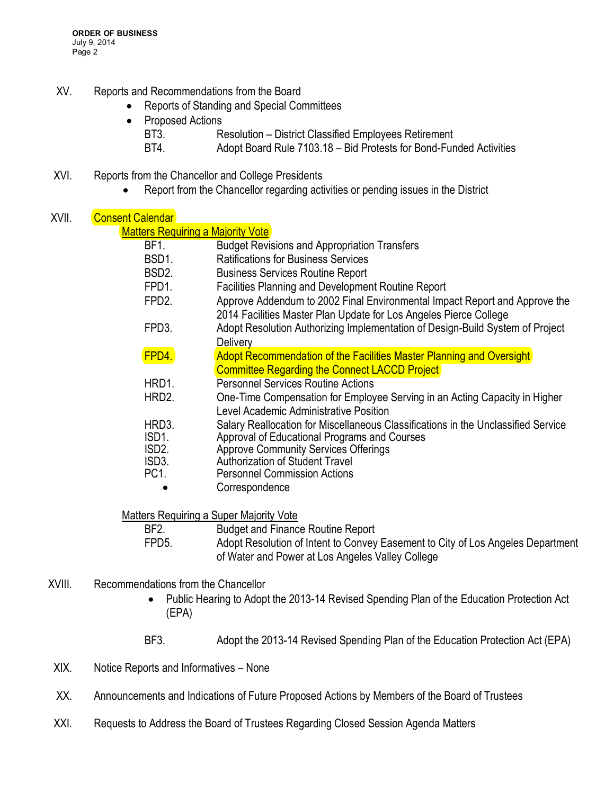- XV. Reports and Recommendations from the Board
	- · Reports of Standing and Special Committees
	- Proposed Actions
		- BT3. Resolution District Classified Employees Retirement
		- BT4. Adopt Board Rule 7103.18 Bid Protests for Bond-Funded Activities
- XVI. Reports from the Chancellor and College Presidents
	- · Report from the Chancellor regarding activities or pending issues in the District

| XVII. | <b>Consent Calendar</b>                  |                                                                                                                                                 |
|-------|------------------------------------------|-------------------------------------------------------------------------------------------------------------------------------------------------|
|       | <b>Matters Requiring a Majority Vote</b> |                                                                                                                                                 |
|       | BF1.                                     | <b>Budget Revisions and Appropriation Transfers</b>                                                                                             |
|       | BSD1.                                    | <b>Ratifications for Business Services</b>                                                                                                      |
|       | BSD <sub>2</sub> .                       | <b>Business Services Routine Report</b>                                                                                                         |
|       | FPD1.                                    | Facilities Planning and Development Routine Report                                                                                              |
|       | FPD <sub>2</sub> .                       | Approve Addendum to 2002 Final Environmental Impact Report and Approve the<br>2014 Facilities Master Plan Update for Los Angeles Pierce College |
|       | FPD3.                                    | Adopt Resolution Authorizing Implementation of Design-Build System of Project<br><b>Delivery</b>                                                |
|       | FPD4.                                    | Adopt Recommendation of the Facilities Master Planning and Oversight<br><b>Committee Regarding the Connect LACCD Project</b>                    |
|       | HRD1.                                    | <b>Personnel Services Routine Actions</b>                                                                                                       |
|       | HRD2.                                    | One-Time Compensation for Employee Serving in an Acting Capacity in Higher<br>Level Academic Administrative Position                            |
|       | HRD3.                                    | Salary Reallocation for Miscellaneous Classifications in the Unclassified Service                                                               |
|       | ISD1.                                    | Approval of Educational Programs and Courses                                                                                                    |
|       | ISD <sub>2</sub> .                       | <b>Approve Community Services Offerings</b>                                                                                                     |
|       | ISD3.<br>PC <sub>1</sub>                 | Authorization of Student Travel<br><b>Personnel Commission Actions</b>                                                                          |
|       |                                          | Correspondence                                                                                                                                  |
|       |                                          | <b>Matters Requiring a Super Majority Vote</b>                                                                                                  |
|       | BF <sub>2</sub> .                        | <b>Budget and Finance Routine Report</b>                                                                                                        |
|       | FPD5.                                    | Adopt Resolution of Intent to Convey Easement to City of Los Angeles Department<br>of Water and Power at Los Angeles Valley College             |

- XVIII. Recommendations from the Chancellor
	- Public Hearing to Adopt the 2013-14 Revised Spending Plan of the Education Protection Act (EPA)
	- BF3. Adopt the 2013-14 Revised Spending Plan of the Education Protection Act (EPA)
- XIX. Notice Reports and Informatives None
- XX. Announcements and Indications of Future Proposed Actions by Members of the Board of Trustees
- XXI. Requests to Address the Board of Trustees Regarding Closed Session Agenda Matters